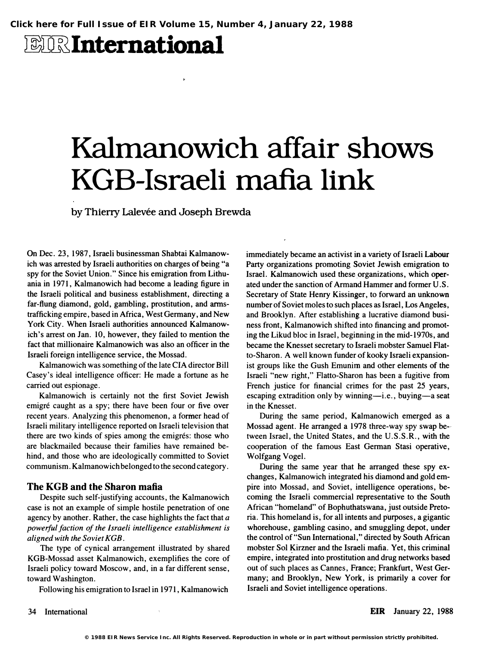$\mathbf{r}$ 

# **EIRInternational**

# Kalmanowich affair shows KGB-Israeli mafia link

by Thierry Lalevée and Joseph Brewda

On Dec. 23,1987, Israeli businessman Shabtai Kalmanowich was arrested by Israeli authorities on charges of being "a spy for the Soviet Union." Since his emigration from Lithuania in 1971, Kalmanowich had become a leading figure in the Israeli political and business establishment, directing a far-flung diamond, gold, gambling, prostitution, and armstrafficking empire, based in Africa, West Germany, and New York City. When Israeli authorities announced Kalmanowich's arrest on Jan. 10, however, they failed to mention the fact that millionaire Kalmanowich was also an officer in the Israeli foreign intelligence service, the Mossad.

Kalmanowich was something of the late CIA director Bill Casey's ideal intelligence officer: He made a fortune as he carried out espionage.

Kalmanowich is certainly not the first Soviet Jewish emigré caught as a spy; there have been four or five over recent years. Analyzing this phenomenon, a former head of Israeli military intelligence reported on Israeli television that there are two kinds of spies among the emigrés: those who are blackmailed because their families have remained behind, and those who are ideologically committed to Soviet communism. Kalmanowich belonged to the second category.

#### The KGB and the Sharon mafia

Despite such self-justifying accounts, the Kalmanowich case is not an example of simple hostile penetration of one agency by another. Rather, the case highlights the fact that  $a$ powerful faction of the Israeli intelligence establishment is aligned with the Soviet KGB.

The type of cynical arrangement illustrated by shared KGB-Mossad asset Kalmanowich, exemplifies the core of Israeli policy toward Moscow, and, in a far different sense, toward Washington.

Following his emigration to Israel in 1971, Kalmanowich

immediately became an activist in a variety of Israeli Labour Party organizations promoting Soviet Jewish emigration to Israel. Kalmanowich used these organizations, which operated under the sanction of Armand Hammer and former U.S. Secretary of State Henry Kissinger, to forward an unknown number of Soviet moles to such places as Israel, Los Angeles, and Brooklyn. After establishing a lucrative diamond business front, Kalmanowich shifted into financing and promoting the Likud bloc in Israel, beginning in the mid-1970s, and became the Knesset secretary to Israeli mobster Samuel Flatto-Sharon. A well known funder of kooky Israeli expansionist groups like the Gush Emunim and other elements of the Israeli "new right," Flatto-Sharon has been a fugitive from French justice for financial crimes for the past 25 years, escaping extradition only by winning-i.e., buying-a seat in the Knesset.

During the same period, Kalmanowich emerged as a Mossad agent. He arranged a 1978 three-way spy swap between Israel, the United States, and the U.S.S.R., with the cooperation of the famous East German Stasi operative, Wolfgang Vogel.

During the same year that he arranged these spy exchanges, Kalmanowich integrated his diamond and gold empire into Mossad, and Soviet, intelligence operations, becoming the Israeli commercial representative to the South African "homeland" of Bophuthatswana, just outside Pretoria. This homeland is, for all intents and purposes, a gigantic whorehouse, gambling casino, and smuggling depot, under the control of "Sun International," directed by South African mobster Sol Kirzner and the Israeli mafia. Yet, this criminal empire, integrated into prostitution and drug networks based out of such places as Cannes, France; Frankfurt, West Germany; and Brooklyn, New York, is primarily a cover for Israeli and Soviet intelligence operations.